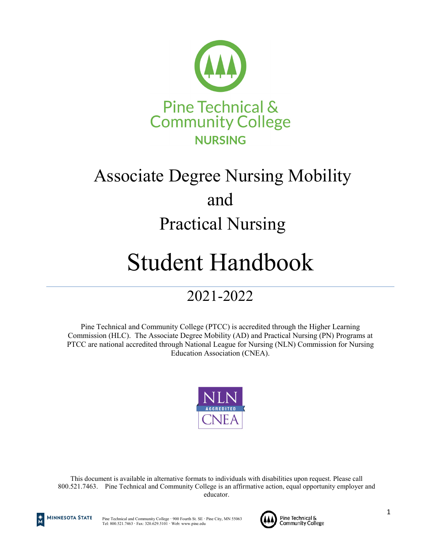

## Associate Degree Nursing Mobility and Practical Nursing

# Student Handbook

### 2021-2022

Pine Technical and Community College (PTCC) is accredited through the Higher Learning Commission (HLC). The Associate Degree Mobility (AD) and Practical Nursing (PN) Programs at PTCC are national accredited through National League for Nursing (NLN) Commission for Nursing Education Association (CNEA).



This document is available in alternative formats to individuals with disabilities upon request. Please call 800.521.7463. Pine Technical and Community College is an affirmative action, equal opportunity employer and educator.



靑

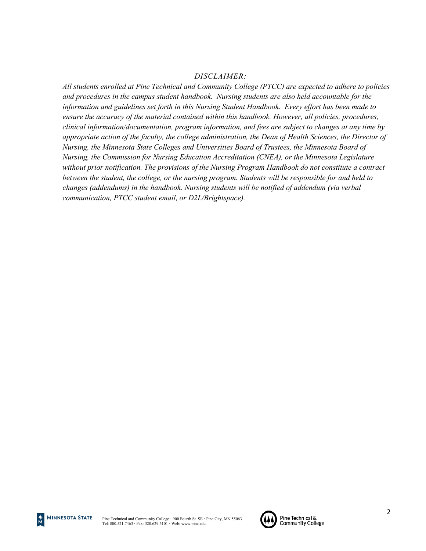#### *DISCLAIMER:*

<span id="page-1-0"></span>*All students enrolled at Pine Technical and Community College (PTCC) are expected to adhere to policies and procedures in the campus student handbook. Nursing students are also held accountable for the information and guidelines set forth in this Nursing Student Handbook. Every effort has been made to ensure the accuracy of the material contained within this handbook. However, all policies, procedures, clinical information/documentation, program information, and fees are subject to changes at any time by appropriate action of the faculty, the college administration, the Dean of Health Sciences, the Director of Nursing, the Minnesota State Colleges and Universities Board of Trustees, the Minnesota Board of Nursing, the Commission for Nursing Education Accreditation (CNEA), or the Minnesota Legislature without prior notification. The provisions of the Nursing Program Handbook do not constitute a contract between the student, the college, or the nursing program. Students will be responsible for and held to changes (addendums) in the handbook. Nursing students will be notified of addendum (via verbal communication, PTCC student email, or D2L/Brightspace).* 

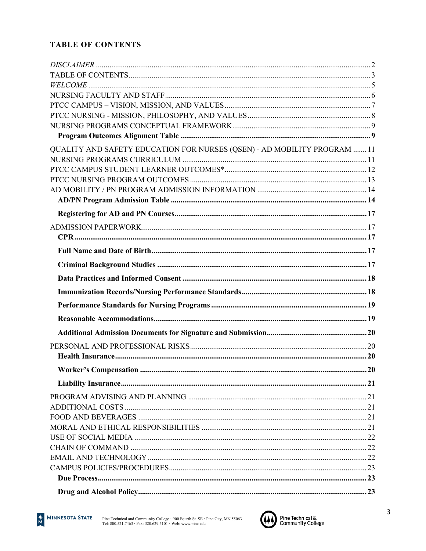### <span id="page-2-0"></span>**TABLE OF CONTENTS**

| QUALITY AND SAFETY EDUCATION FOR NURSES (QSEN) - AD MOBILITY PROGRAM  11 |    |
|--------------------------------------------------------------------------|----|
|                                                                          |    |
|                                                                          |    |
|                                                                          |    |
|                                                                          |    |
|                                                                          |    |
|                                                                          |    |
|                                                                          |    |
|                                                                          |    |
|                                                                          |    |
|                                                                          |    |
|                                                                          |    |
|                                                                          |    |
|                                                                          |    |
|                                                                          |    |
|                                                                          |    |
|                                                                          |    |
|                                                                          |    |
|                                                                          | 20 |
|                                                                          |    |
|                                                                          |    |
|                                                                          |    |
|                                                                          |    |
|                                                                          |    |
|                                                                          |    |
|                                                                          |    |
|                                                                          |    |
|                                                                          |    |
|                                                                          |    |
|                                                                          |    |

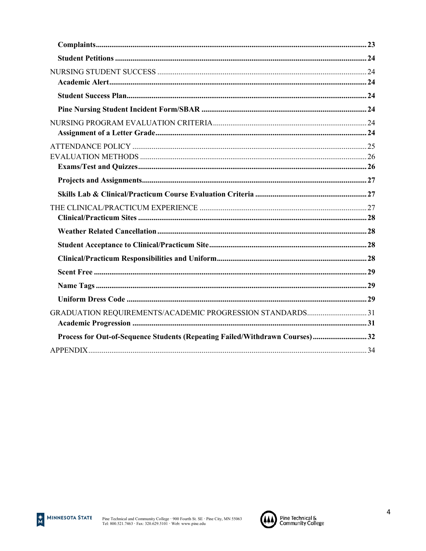| GRADUATION REQUIREMENTS/ACADEMIC PROGRESSION STANDARDS31                     |  |
|------------------------------------------------------------------------------|--|
|                                                                              |  |
| Process for Out-of-Sequence Students (Repeating Failed/Withdrawn Courses) 32 |  |
|                                                                              |  |

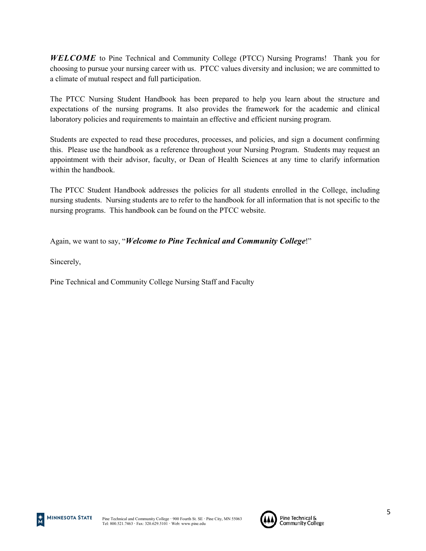<span id="page-4-0"></span>*WELCOME* to Pine Technical and Community College (PTCC) Nursing Programs! Thank you for choosing to pursue your nursing career with us. PTCC values diversity and inclusion; we are committed to a climate of mutual respect and full participation.

The PTCC Nursing Student Handbook has been prepared to help you learn about the structure and expectations of the nursing programs. It also provides the framework for the academic and clinical laboratory policies and requirements to maintain an effective and efficient nursing program.

Students are expected to read these procedures, processes, and policies, and sign a document confirming this. Please use the handbook as a reference throughout your Nursing Program. Students may request an appointment with their advisor, faculty, or Dean of Health Sciences at any time to clarify information within the handbook.

The PTCC Student Handbook addresses the policies for all students enrolled in the College, including nursing students. Nursing students are to refer to the handbook for all information that is not specific to the nursing programs. This handbook can be found on the PTCC website.

Again, we want to say, "*Welcome to Pine Technical and Community College*!"

Sincerely,

Pine Technical and Community College Nursing Staff and Faculty



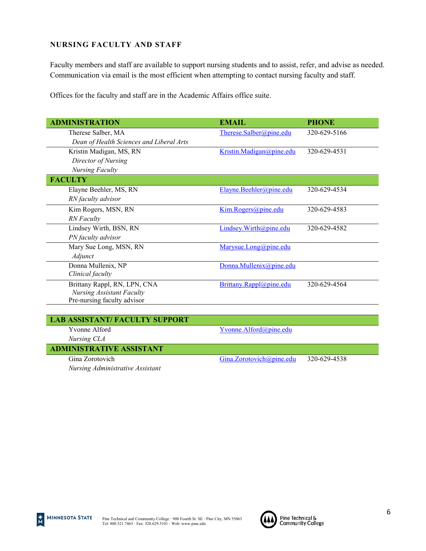#### <span id="page-5-0"></span>**NURSING FACULTY AND STAFF**

Faculty members and staff are available to support nursing students and to assist, refer, and advise as needed. Communication via email is the most efficient when attempting to contact nursing faculty and staff.

Offices for the faculty and staff are in the Academic Affairs office suite.

| <b>ADMINISTRATION</b>                    | <b>EMAIL</b>             | <b>PHONE</b> |
|------------------------------------------|--------------------------|--------------|
| Therese Salber, MA                       | Therese.Salber@pine.edu  | 320-629-5166 |
| Dean of Health Sciences and Liberal Arts |                          |              |
| Kristin Madigan, MS, RN                  | Kristin.Madigan@pine.edu | 320-629-4531 |
| Director of Nursing                      |                          |              |
| Nursing Faculty                          |                          |              |
| <b>FACULTY</b>                           |                          |              |
| Elayne Beehler, MS, RN                   | Elayne.Beehler@pine.edu  | 320-629-4534 |
| RN faculty advisor                       |                          |              |
| Kim Rogers, MSN, RN                      | Kim.Rogers@pine.edu      | 320-629-4583 |
| <b>RN</b> Faculty                        |                          |              |
| Lindsey Wirth, BSN, RN                   | Lindsey.Wirth@pine.edu   | 320-629-4582 |
| PN faculty advisor                       |                          |              |
| Mary Sue Long, MSN, RN                   | Marysue.Long@pine.edu    |              |
| Adjunct                                  |                          |              |
| Donna Mullenix, NP                       | Donna.Mullenix@pine.edu  |              |
| Clinical faculty                         |                          |              |
| Brittany Rappl, RN, LPN, CNA             | Brittany.Rappl@pine.edu  | 320-629-4564 |
| Nursing Assistant Faculty                |                          |              |
| Pre-nursing faculty advisor              |                          |              |
|                                          |                          |              |

| <b>LAB ASSISTANT/ FACULTY SUPPORT</b> |                              |              |
|---------------------------------------|------------------------------|--------------|
| Yvonne Alford                         | Yvonne. Alford $@$ pine. edu |              |
| Nursing CLA                           |                              |              |
| <b>ADMINISTRATIVE ASSISTANT</b>       |                              |              |
| Gina Zorotovich                       | Gina.Zorotovich@pine.edu     | 320-629-4538 |
| Nursing Administrative Assistant      |                              |              |



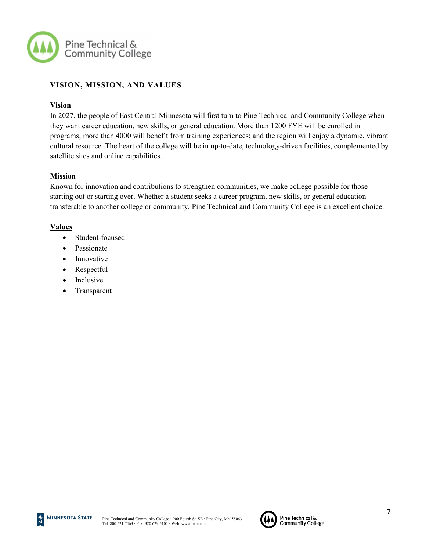

#### <span id="page-6-0"></span>**VISION, MISSION, AND VALUES**

#### **Vision**

In 2027, the people of East Central Minnesota will first turn to Pine Technical and Community College when they want career education, new skills, or general education. More than 1200 FYE will be enrolled in programs; more than 4000 will benefit from training experiences; and the region will enjoy a dynamic, vibrant cultural resource. The heart of the college will be in up-to-date, technology-driven facilities, complemented by satellite sites and online capabilities.

#### **Mission**

Known for innovation and contributions to strengthen communities, we make college possible for those starting out or starting over. Whether a student seeks a career program, new skills, or general education transferable to another college or community, Pine Technical and Community College is an excellent choice.

#### **Values**

- Student-focused
- **Passionate**
- **Innovative**
- Respectful
- Inclusive
- Transparent



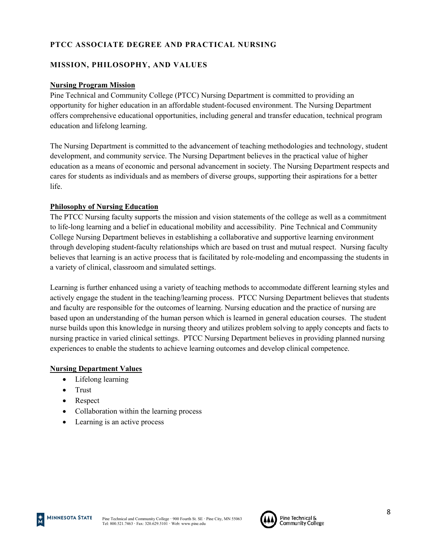#### <span id="page-7-0"></span>**PTCC ASSOCIATE DEGREE AND PRACTICAL NURSING**

#### **MISSION, PHILOSOPHY, AND VALUES**

#### **Nursing Program Mission**

Pine Technical and Community College (PTCC) Nursing Department is committed to providing an opportunity for higher education in an affordable student-focused environment. The Nursing Department offers comprehensive educational opportunities, including general and transfer education, technical program education and lifelong learning.

The Nursing Department is committed to the advancement of teaching methodologies and technology, student development, and community service. The Nursing Department believes in the practical value of higher education as a means of economic and personal advancement in society. The Nursing Department respects and cares for students as individuals and as members of diverse groups, supporting their aspirations for a better life.

#### **Philosophy of Nursing Education**

The PTCC Nursing faculty supports the mission and vision statements of the college as well as a commitment to life-long learning and a belief in educational mobility and accessibility. Pine Technical and Community College Nursing Department believes in establishing a collaborative and supportive learning environment through developing student-faculty relationships which are based on trust and mutual respect. Nursing faculty believes that learning is an active process that is facilitated by role-modeling and encompassing the students in a variety of clinical, classroom and simulated settings.

Learning is further enhanced using a variety of teaching methods to accommodate different learning styles and actively engage the student in the teaching/learning process. PTCC Nursing Department believes that students and faculty are responsible for the outcomes of learning. Nursing education and the practice of nursing are based upon an understanding of the human person which is learned in general education courses. The student nurse builds upon this knowledge in nursing theory and utilizes problem solving to apply concepts and facts to nursing practice in varied clinical settings. PTCC Nursing Department believes in providing planned nursing experiences to enable the students to achieve learning outcomes and develop clinical competence.

#### **Nursing Department Values**

- Lifelong learning
- Trust

靑

- Respect
- Collaboration within the learning process
- Learning is an active process

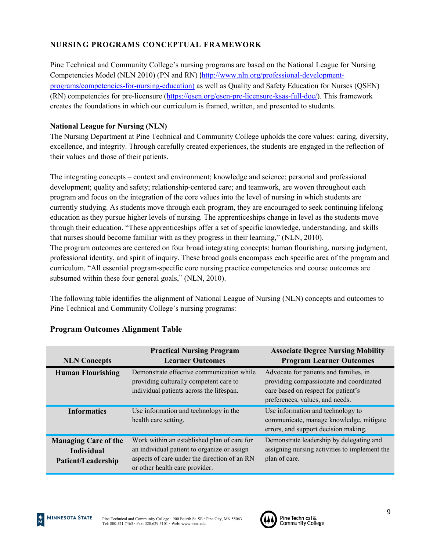#### <span id="page-8-0"></span>**NURSING PROGRAMS CONCEPTUAL FRAMEWORK**

Pine Technical and Community College's nursing programs are based on the National League for Nursing Competencies Model (NLN 2010) (PN and RN) ([http://www.nln.org/professional-development](http://www.nln.org/professional-development-programs/competencies-for-nursing-education)[programs/competencies-for-nursing-education\)](http://www.nln.org/professional-development-programs/competencies-for-nursing-education) as well as Quality and Safety Education for Nurses (QSEN) (RN) competencies for pre-licensure [\(https://qsen.org/qsen-pre-licensure-ksas-full-doc/\)](https://qsen.org/qsen-pre-licensure-ksas-full-doc/). This framework creates the foundations in which our curriculum is framed, written, and presented to students.

#### **National League for Nursing (NLN)**

The Nursing Department at Pine Technical and Community College upholds the core values: caring, diversity, excellence, and integrity. Through carefully created experiences, the students are engaged in the reflection of their values and those of their patients.

The integrating concepts – context and environment; knowledge and science; personal and professional development; quality and safety; relationship-centered care; and teamwork, are woven throughout each program and focus on the integration of the core values into the level of nursing in which students are currently studying. As students move through each program, they are encouraged to seek continuing lifelong education as they pursue higher levels of nursing. The apprenticeships change in level as the students move through their education. "These apprenticeships offer a set of specific knowledge, understanding, and skills that nurses should become familiar with as they progress in their learning," (NLN, 2010).

The program outcomes are centered on four broad integrating concepts: human flourishing, nursing judgment, professional identity, and spirit of inquiry. These broad goals encompass each specific area of the program and curriculum. "All essential program-specific core nursing practice competencies and course outcomes are subsumed within these four general goals," (NLN, 2010).

The following table identifies the alignment of National League of Nursing (NLN) concepts and outcomes to Pine Technical and Community College's nursing programs:

|                                                                               | <b>Practical Nursing Program</b>                                                                                                                                             | <b>Associate Degree Nursing Mobility</b>                                                                                                                    |
|-------------------------------------------------------------------------------|------------------------------------------------------------------------------------------------------------------------------------------------------------------------------|-------------------------------------------------------------------------------------------------------------------------------------------------------------|
| <b>NLN Concepts</b>                                                           | <b>Learner Outcomes</b>                                                                                                                                                      | <b>Program Learner Outcomes</b>                                                                                                                             |
| <b>Human Flourishing</b>                                                      | Demonstrate effective communication while<br>providing culturally competent care to<br>individual patients across the lifespan.                                              | Advocate for patients and families, in<br>providing compassionate and coordinated<br>care based on respect for patient's<br>preferences, values, and needs. |
| <b>Informatics</b>                                                            | Use information and technology in the<br>health care setting.                                                                                                                | Use information and technology to<br>communicate, manage knowledge, mitigate<br>errors, and support decision making.                                        |
| <b>Managing Care of the</b><br><b>Individual</b><br><b>Patient/Leadership</b> | Work within an established plan of care for<br>an individual patient to organize or assign<br>aspects of care under the direction of an RN<br>or other health care provider. | Demonstrate leadership by delegating and<br>assigning nursing activities to implement the<br>plan of care.                                                  |

### <span id="page-8-1"></span>**Program Outcomes Alignment Table**

प्रि

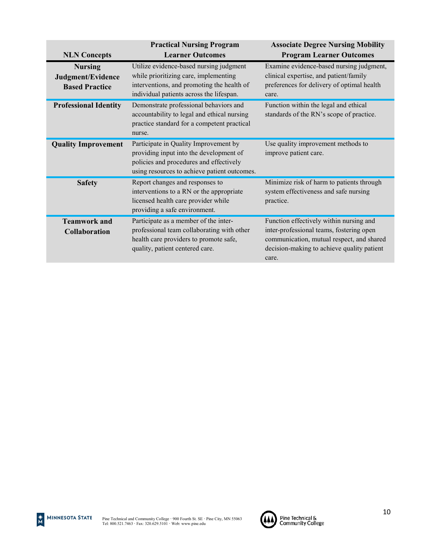| <b>NLN Concepts</b>                                          | <b>Practical Nursing Program</b><br><b>Learner Outcomes</b>                                                                                                                 | <b>Associate Degree Nursing Mobility</b><br><b>Program Learner Outcomes</b>                                                                                                             |
|--------------------------------------------------------------|-----------------------------------------------------------------------------------------------------------------------------------------------------------------------------|-----------------------------------------------------------------------------------------------------------------------------------------------------------------------------------------|
| <b>Nursing</b><br>Judgment/Evidence<br><b>Based Practice</b> | Utilize evidence-based nursing judgment<br>while prioritizing care, implementing<br>interventions, and promoting the health of<br>individual patients across the lifespan.  | Examine evidence-based nursing judgment,<br>clinical expertise, and patient/family<br>preferences for delivery of optimal health<br>care.                                               |
| <b>Professional Identity</b>                                 | Demonstrate professional behaviors and<br>accountability to legal and ethical nursing<br>practice standard for a competent practical<br>nurse.                              | Function within the legal and ethical<br>standards of the RN's scope of practice.                                                                                                       |
| <b>Quality Improvement</b>                                   | Participate in Quality Improvement by<br>providing input into the development of<br>policies and procedures and effectively<br>using resources to achieve patient outcomes. | Use quality improvement methods to<br>improve patient care.                                                                                                                             |
| <b>Safety</b>                                                | Report changes and responses to<br>interventions to a RN or the appropriate<br>licensed health care provider while<br>providing a safe environment.                         | Minimize risk of harm to patients through<br>system effectiveness and safe nursing<br>practice.                                                                                         |
| <b>Teamwork and</b><br><b>Collaboration</b>                  | Participate as a member of the inter-<br>professional team collaborating with other<br>health care providers to promote safe,<br>quality, patient centered care.            | Function effectively within nursing and<br>inter-professional teams, fostering open<br>communication, mutual respect, and shared<br>decision-making to achieve quality patient<br>care. |

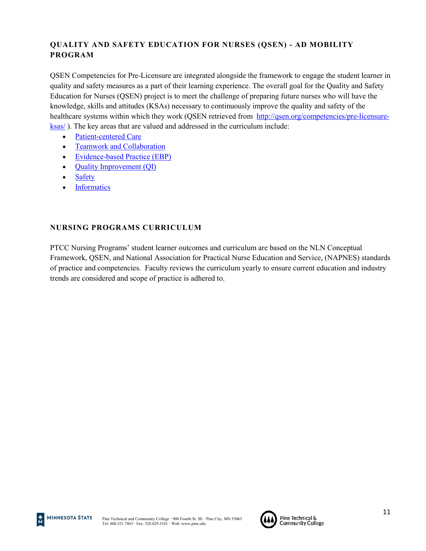#### <span id="page-10-0"></span>**QUALITY AND SAFETY EDUCATION FOR NURSES (QSEN) - AD MOBILITY PROGRAM**

QSEN Competencies for Pre-Licensure are integrated alongside the framework to engage the student learner in quality and safety measures as a part of their learning experience. The overall goal for the Quality and Safety Education for Nurses (QSEN) project is to meet the challenge of preparing future nurses who will have the knowledge, skills and attitudes (KSAs) necessary to continuously improve the quality and safety of the healthcare systems within which they work (QSEN retrieved from [http://qsen.org/competencies/pre-licensure](http://qsen.org/competencies/pre-licensure-ksas/)[ksas/](http://qsen.org/competencies/pre-licensure-ksas/) ). The key areas that are valued and addressed in the curriculum include:

- [Patient-centered Care](http://www.qsen.org/ksas_prelicensure.php#patient-centered_care)
- [Teamwork and Collaboration](http://www.qsen.org/ksas_prelicensure.php#teamwork_collaboration)
- [Evidence-based Practice \(EBP\)](http://www.qsen.org/ksas_prelicensure.php#evidence-based_practice)
- Quality Improvement (QI)
- [Safety](http://www.qsen.org/ksas_prelicensure.php#safety)
- **Informatics**

### <span id="page-10-1"></span>**NURSING PROGRAMS CURRICULUM**

PTCC Nursing Programs' student learner outcomes and curriculum are based on the NLN Conceptual Framework, QSEN, and National Association for Practical Nurse Education and Service, (NAPNES) standards of practice and competencies. Faculty reviews the curriculum yearly to ensure current education and industry trends are considered and scope of practice is adhered to.



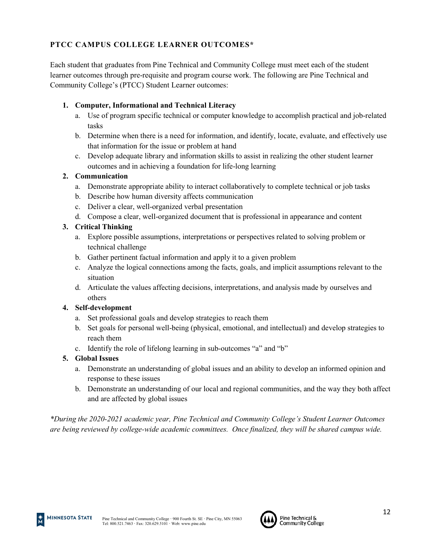#### <span id="page-11-0"></span>**PTCC CAMPUS COLLEGE LEARNER OUTCOMES\***

Each student that graduates from Pine Technical and Community College must meet each of the student learner outcomes through pre-requisite and program course work. The following are Pine Technical and Community College's (PTCC) Student Learner outcomes:

#### **1. Computer, Informational and Technical Literacy**

- a. Use of program specific technical or computer knowledge to accomplish practical and job-related tasks
- b. Determine when there is a need for information, and identify, locate, evaluate, and effectively use that information for the issue or problem at hand
- c. Develop adequate library and information skills to assist in realizing the other student learner outcomes and in achieving a foundation for life-long learning

#### **2. Communication**

- a. Demonstrate appropriate ability to interact collaboratively to complete technical or job tasks
- b. Describe how human diversity affects communication
- c. Deliver a clear, well-organized verbal presentation
- d. Compose a clear, well-organized document that is professional in appearance and content

#### **3. Critical Thinking**

- a. Explore possible assumptions, interpretations or perspectives related to solving problem or technical challenge
- b. Gather pertinent factual information and apply it to a given problem
- c. Analyze the logical connections among the facts, goals, and implicit assumptions relevant to the situation
- d. Articulate the values affecting decisions, interpretations, and analysis made by ourselves and others

#### **4. Self-development**

- a. Set professional goals and develop strategies to reach them
- b. Set goals for personal well-being (physical, emotional, and intellectual) and develop strategies to reach them
- c. Identify the role of lifelong learning in sub-outcomes "a" and "b"

#### **5. Global Issues**

- a. Demonstrate an understanding of global issues and an ability to develop an informed opinion and response to these issues
- b. Demonstrate an understanding of our local and regional communities, and the way they both affect and are affected by global issues

*\*During the 2020-2021 academic year, Pine Technical and Community College's Student Learner Outcomes are being reviewed by college-wide academic committees. Once finalized, they will be shared campus wide.* 

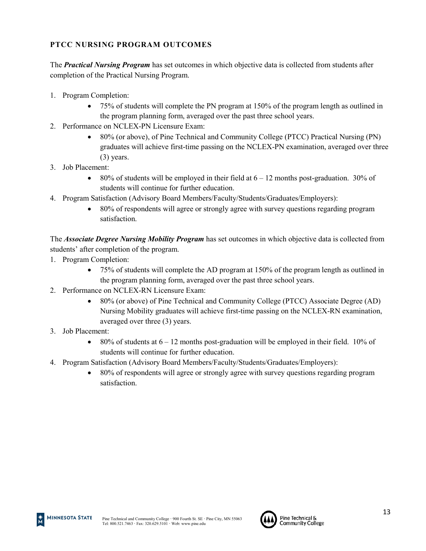#### <span id="page-12-0"></span>**PTCC NURSING PROGRAM OUTCOMES**

The *Practical Nursing Program* has set outcomes in which objective data is collected from students after completion of the Practical Nursing Program.

- 1. Program Completion:
	- 75% of students will complete the PN program at 150% of the program length as outlined in the program planning form, averaged over the past three school years.
- 2. Performance on NCLEX-PN Licensure Exam:
	- 80% (or above), of Pine Technical and Community College (PTCC) Practical Nursing (PN) graduates will achieve first-time passing on the NCLEX-PN examination, averaged over three (3) years.
- 3. Job Placement:
	- 80% of students will be employed in their field at  $6 12$  months post-graduation. 30% of students will continue for further education.
- 4. Program Satisfaction (Advisory Board Members/Faculty/Students/Graduates/Employers):
	- 80% of respondents will agree or strongly agree with survey questions regarding program satisfaction.

The *Associate Degree Nursing Mobility Program* has set outcomes in which objective data is collected from students' after completion of the program.

- 1. Program Completion:
	- 75% of students will complete the AD program at 150% of the program length as outlined in the program planning form, averaged over the past three school years.
- 2. Performance on NCLEX-RN Licensure Exam:
	- 80% (or above) of Pine Technical and Community College (PTCC) Associate Degree (AD) Nursing Mobility graduates will achieve first-time passing on the NCLEX-RN examination, averaged over three (3) years.
- 3. Job Placement:
	- 80% of students at  $6 12$  months post-graduation will be employed in their field. 10% of students will continue for further education.
- 4. Program Satisfaction (Advisory Board Members/Faculty/Students/Graduates/Employers):
	- 80% of respondents will agree or strongly agree with survey questions regarding program satisfaction.

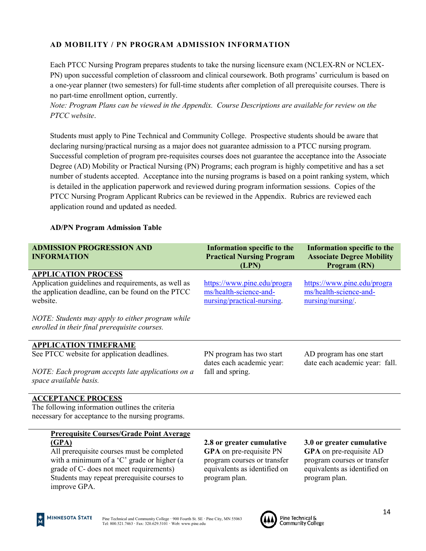#### <span id="page-13-0"></span>**AD MOBILITY / PN PROGRAM ADMISSION INFORMATION**

Each PTCC Nursing Program prepares students to take the nursing licensure exam (NCLEX-RN or NCLEX-PN) upon successful completion of classroom and clinical coursework. Both programs' curriculum is based on a one-year planner (two semesters) for full-time students after completion of all prerequisite courses. There is no part-time enrollment option, currently.

*Note: Program Plans can be viewed in the Appendix. Course Descriptions are available for review on the PTCC website*.

Students must apply to Pine Technical and Community College. Prospective students should be aware that declaring nursing/practical nursing as a major does not guarantee admission to a PTCC nursing program. Successful completion of program pre-requisites courses does not guarantee the acceptance into the Associate Degree (AD) Mobility or Practical Nursing (PN) Programs; each program is highly competitive and has a set number of students accepted. Acceptance into the nursing programs is based on a point ranking system, which is detailed in the application paperwork and reviewed during program information sessions. Copies of the PTCC Nursing Program Applicant Rubrics can be reviewed in the Appendix. Rubrics are reviewed each application round and updated as needed.

#### <span id="page-13-1"></span>**AD/PN Program Admission Table**

| <b>ADMISSION PROGRESSION AND</b><br><b>INFORMATION</b>                                                                                              | Information specific to the<br><b>Practical Nursing Program</b><br>(LPN)            | Information specific to the<br><b>Associate Degree Mobility</b><br>Program (RN) |
|-----------------------------------------------------------------------------------------------------------------------------------------------------|-------------------------------------------------------------------------------------|---------------------------------------------------------------------------------|
| <b>APPLICATION PROCESS</b><br>Application guidelines and requirements, as well as<br>the application deadline, can be found on the PTCC<br>website. | https://www.pine.edu/progra<br>ms/health-science-and-<br>nursing/practical-nursing. | https://www.pine.edu/progra<br>ms/health-science-and-<br>$nursing/nursing/$ .   |
| NOTE: Students may apply to either program while<br>enrolled in their final prerequisite courses.                                                   |                                                                                     |                                                                                 |
| <b>APPLICATION TIMEFRAME</b>                                                                                                                        |                                                                                     |                                                                                 |
| See PTCC website for application deadlines.                                                                                                         | PN program has two start<br>dates each academic year:                               | AD program has one start<br>date each academic year: fall.                      |
| NOTE: Each program accepts late applications on a<br>space available basis.                                                                         | fall and spring.                                                                    |                                                                                 |
| <b>ACCEPTANCE PROCESS</b>                                                                                                                           |                                                                                     |                                                                                 |
| The following information outlines the criteria                                                                                                     |                                                                                     |                                                                                 |
| necessary for acceptance to the nursing programs.                                                                                                   |                                                                                     |                                                                                 |
| <b>Prerequisite Courses/Grade Point Average</b><br>(GPA)                                                                                            | 2.8 or greater cumulative                                                           | 3.0 or greater cumulative                                                       |

All prerequisite courses must be completed with a minimum of a 'C' grade or higher (a grade of C- does not meet requirements) Students may repeat prerequisite courses to improve GPA.

**2.8 or greater cumulative GPA** on pre-requisite PN program courses or transfer equivalents as identified on program plan.

**v** or greater cumula **GPA** on pre-requisite AD program courses or transfer equivalents as identified on

program plan.

प्रि

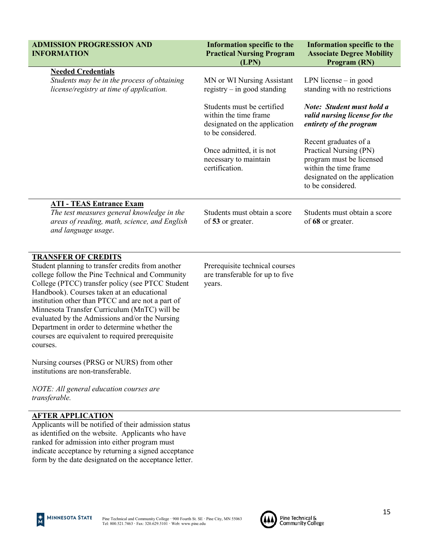#### **ADMISSION PROGRESSION AND INFORMATION Information specific to the Practical Nursing Program (LPN) Information specific to the Associate Degree Mobility Program (RN) Needed Credentials**  *Students may be in the process of obtaining license/registry at time of application.*  MN or WI Nursing Assistant registry – in good standing Students must be certified within the time frame designated on the application to be considered. Once admitted, it is not necessary to maintain certification. LPN license – in good standing with no restrictions *Note: Student must hold a valid nursing license for the entirety of the program* Recent graduates of a Practical Nursing (PN) program must be licensed within the time frame designated on the application to be considered. **ATI - TEAS Entrance Exam** *The test measures general knowledge in the areas of reading, math, science, and English and language usage*. Students must obtain a score of **53** or greater. Students must obtain a score of **68** or greater.

#### **TRANSFER OF CREDITS**

Student planning to transfer credits from another college follow the Pine Technical and Community College (PTCC) transfer policy (see PTCC Student Handbook). Courses taken at an educational institution other than PTCC and are not a part of Minnesota Transfer Curriculum (MnTC) will be evaluated by the Admissions and/or the Nursing Department in order to determine whether the courses are equivalent to required prerequisite courses.

Nursing courses (PRSG or NURS) from other institutions are non-transferable.

*NOTE: All general education courses are transferable.* 

#### **AFTER APPLICATION**

Applicants will be notified of their admission status as identified on the website. Applicants who have ranked for admission into either program must indicate acceptance by returning a signed acceptance form by the date designated on the acceptance letter.

Prerequisite technical courses are transferable for up to five years.



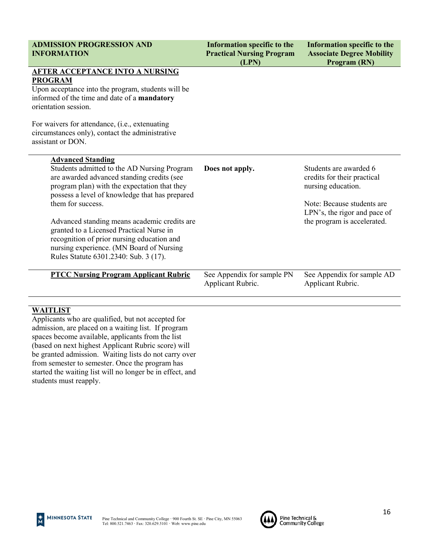| <b>ADMISSION PROGRESSION AND</b><br><b>INFORMATION</b>                                                                                                                                                                                                                                                                                                                                                                                                                      | <b>Information specific to the</b><br><b>Practical Nursing Program</b><br>(LPN) | <b>Information specific to the</b><br><b>Associate Degree Mobility</b><br>Program (RN)                                                                                   |
|-----------------------------------------------------------------------------------------------------------------------------------------------------------------------------------------------------------------------------------------------------------------------------------------------------------------------------------------------------------------------------------------------------------------------------------------------------------------------------|---------------------------------------------------------------------------------|--------------------------------------------------------------------------------------------------------------------------------------------------------------------------|
| <b>AFTER ACCEPTANCE INTO A NURSING</b><br><b>PROGRAM</b><br>Upon acceptance into the program, students will be<br>informed of the time and date of a mandatory<br>orientation session.<br>For waivers for attendance, (i.e., extenuating<br>circumstances only), contact the administrative<br>assistant or DON.                                                                                                                                                            |                                                                                 |                                                                                                                                                                          |
| <b>Advanced Standing</b><br>Students admitted to the AD Nursing Program<br>are awarded advanced standing credits (see<br>program plan) with the expectation that they<br>possess a level of knowledge that has prepared<br>them for success.<br>Advanced standing means academic credits are<br>granted to a Licensed Practical Nurse in<br>recognition of prior nursing education and<br>nursing experience. (MN Board of Nursing<br>Rules Statute 6301.2340: Sub. 3 (17). | Does not apply.                                                                 | Students are awarded 6<br>credits for their practical<br>nursing education.<br>Note: Because students are<br>LPN's, the rigor and pace of<br>the program is accelerated. |
| <b>PTCC Nursing Program Applicant Rubric</b>                                                                                                                                                                                                                                                                                                                                                                                                                                | See Appendix for sample PN<br>Applicant Rubric.                                 | See Appendix for sample AD<br>Applicant Rubric.                                                                                                                          |

#### **WAITLIST**

Applicants who are qualified, but not accepted for admission, are placed on a waiting list. If program spaces become available, applicants from the list (based on next highest Applicant Rubric score) will be granted admission. Waiting lists do not carry over from semester to semester. Once the program has started the waiting list will no longer be in effect, and students must reapply.

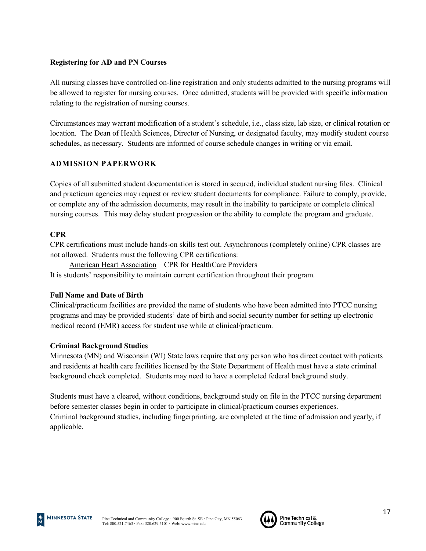#### <span id="page-16-0"></span>**Registering for AD and PN Courses**

All nursing classes have controlled on-line registration and only students admitted to the nursing programs will be allowed to register for nursing courses. Once admitted, students will be provided with specific information relating to the registration of nursing courses.

Circumstances may warrant modification of a student's schedule, i.e., class size, lab size, or clinical rotation or location. The Dean of Health Sciences, Director of Nursing, or designated faculty, may modify student course schedules, as necessary. Students are informed of course schedule changes in writing or via email.

#### <span id="page-16-1"></span>**ADMISSION PAPERWORK**

Copies of all submitted student documentation is stored in secured, individual student nursing files. Clinical and practicum agencies may request or review student documents for compliance. Failure to comply, provide, or complete any of the admission documents, may result in the inability to participate or complete clinical nursing courses. This may delay student progression or the ability to complete the program and graduate.

#### <span id="page-16-2"></span>**CPR**

CPR certifications must include hands-on skills test out. Asynchronous (completely online) CPR classes are not allowed. Students must the following CPR certifications:

 American Heart Association CPR for HealthCare Providers It is students' responsibility to maintain current certification throughout their program.

#### <span id="page-16-3"></span>**Full Name and Date of Birth**

Clinical/practicum facilities are provided the name of students who have been admitted into PTCC nursing programs and may be provided students' date of birth and social security number for setting up electronic medical record (EMR) access for student use while at clinical/practicum.

#### <span id="page-16-4"></span>**Criminal Background Studies**

Minnesota (MN) and Wisconsin (WI) State laws require that any person who has direct contact with patients and residents at health care facilities licensed by the State Department of Health must have a state criminal background check completed. Students may need to have a completed federal background study.

Students must have a cleared, without conditions, background study on file in the PTCC nursing department before semester classes begin in order to participate in clinical/practicum courses experiences. Criminal background studies, including fingerprinting, are completed at the time of admission and yearly, if applicable.

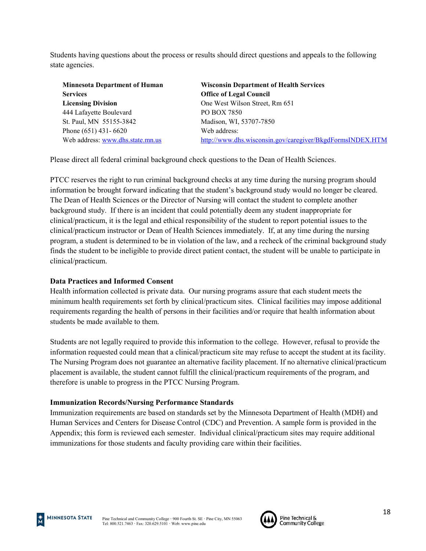Students having questions about the process or results should direct questions and appeals to the following state agencies.

| <b>Minnesota Department of Human</b> | <b>Wisconsin Department of Health Services</b>            |
|--------------------------------------|-----------------------------------------------------------|
| <b>Services</b>                      | <b>Office of Legal Council</b>                            |
| <b>Licensing Division</b>            | One West Wilson Street, Rm 651                            |
| 444 Lafayette Boulevard              | PO BOX 7850                                               |
| St. Paul, MN 55155-3842              | Madison, WI, 53707-7850                                   |
| Phone $(651)$ 431-6620               | Web address:                                              |
| Web address: www.dhs.state.mn.us     | http://www.dhs.wisconsin.gov/caregiver/BkgdFormsINDEX.HTM |

Please direct all federal criminal background check questions to the Dean of Health Sciences.

PTCC reserves the right to run criminal background checks at any time during the nursing program should information be brought forward indicating that the student's background study would no longer be cleared. The Dean of Health Sciences or the Director of Nursing will contact the student to complete another background study. If there is an incident that could potentially deem any student inappropriate for clinical/practicum, it is the legal and ethical responsibility of the student to report potential issues to the clinical/practicum instructor or Dean of Health Sciences immediately. If, at any time during the nursing program, a student is determined to be in violation of the law, and a recheck of the criminal background study finds the student to be ineligible to provide direct patient contact, the student will be unable to participate in clinical/practicum.

#### <span id="page-17-0"></span>**Data Practices and Informed Consent**

Health information collected is private data. Our nursing programs assure that each student meets the minimum health requirements set forth by clinical/practicum sites. Clinical facilities may impose additional requirements regarding the health of persons in their facilities and/or require that health information about students be made available to them.

Students are not legally required to provide this information to the college. However, refusal to provide the information requested could mean that a clinical/practicum site may refuse to accept the student at its facility. The Nursing Program does not guarantee an alternative facility placement. If no alternative clinical/practicum placement is available, the student cannot fulfill the clinical/practicum requirements of the program, and therefore is unable to progress in the PTCC Nursing Program.

#### <span id="page-17-1"></span>**Immunization Records/Nursing Performance Standards**

Immunization requirements are based on standards set by the Minnesota Department of Health (MDH) and Human Services and Centers for Disease Control (CDC) and Prevention. A sample form is provided in the Appendix; this form is reviewed each semester. Individual clinical/practicum sites may require additional immunizations for those students and faculty providing care within their facilities.

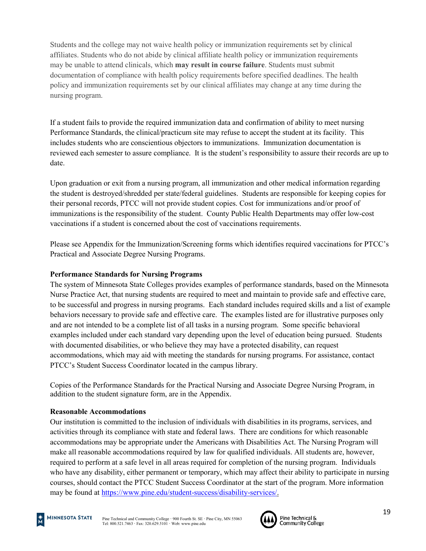Students and the college may not waive health policy or immunization requirements set by clinical affiliates. Students who do not abide by clinical affiliate health policy or immunization requirements may be unable to attend clinicals, which **may result in course failure**. Students must submit documentation of compliance with health policy requirements before specified deadlines. The health policy and immunization requirements set by our clinical affiliates may change at any time during the nursing program.

If a student fails to provide the required immunization data and confirmation of ability to meet nursing Performance Standards, the clinical/practicum site may refuse to accept the student at its facility. This includes students who are conscientious objectors to immunizations. Immunization documentation is reviewed each semester to assure compliance. It is the student's responsibility to assure their records are up to date.

Upon graduation or exit from a nursing program, all immunization and other medical information regarding the student is destroyed/shredded per state/federal guidelines. Students are responsible for keeping copies for their personal records, PTCC will not provide student copies. Cost for immunizations and/or proof of immunizations is the responsibility of the student. County Public Health Departments may offer low-cost vaccinations if a student is concerned about the cost of vaccinations requirements.

Please see Appendix for the Immunization/Screening forms which identifies required vaccinations for PTCC's Practical and Associate Degree Nursing Programs.

#### <span id="page-18-0"></span>**Performance Standards for Nursing Programs**

The system of Minnesota State Colleges provides examples of performance standards, based on the Minnesota Nurse Practice Act, that nursing students are required to meet and maintain to provide safe and effective care, to be successful and progress in nursing programs. Each standard includes required skills and a list of example behaviors necessary to provide safe and effective care. The examples listed are for illustrative purposes only and are not intended to be a complete list of all tasks in a nursing program. Some specific behavioral examples included under each standard vary depending upon the level of education being pursued. Students with documented disabilities, or who believe they may have a protected disability, can request accommodations, which may aid with meeting the standards for nursing programs. For assistance, contact PTCC's Student Success Coordinator located in the campus library.

Copies of the Performance Standards for the Practical Nursing and Associate Degree Nursing Program, in addition to the student signature form, are in the Appendix.

#### <span id="page-18-1"></span>**Reasonable Accommodations**

靑

Our institution is committed to the inclusion of individuals with disabilities in its programs, services, and activities through its compliance with state and federal laws. There are conditions for which reasonable accommodations may be appropriate under the Americans with Disabilities Act. The Nursing Program will make all reasonable accommodations required by law for qualified individuals. All students are, however, required to perform at a safe level in all areas required for completion of the nursing program. Individuals who have any disability, either permanent or temporary, which may affect their ability to participate in nursing courses, should contact the PTCC Student Success Coordinator at the start of the program. More information may be found at [https://www.pine.edu/student-success/disability-services/.](https://www.pine.edu/student-success/disability-services/)

**MINNESOTA STATE** Pine Technical and Community College · 900 Fourth St. SE · Pine City, MN 55063 Tel: 800.521.7463 **·** Fax: 320.629.5101 **·** Web: www.pine.edu

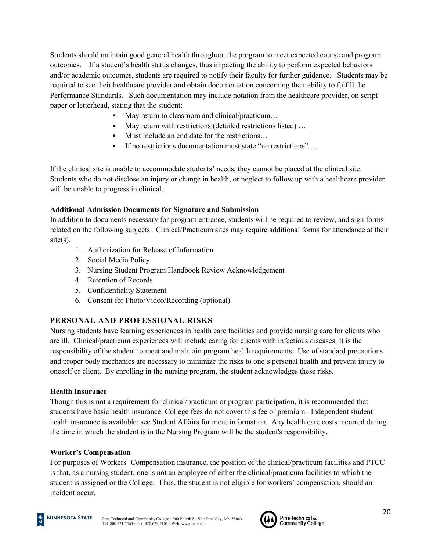Students should maintain good general health throughout the program to meet expected course and program outcomes. If a student's health status changes, thus impacting the ability to perform expected behaviors and/or academic outcomes, students are required to notify their faculty for further guidance. Students may be required to see their healthcare provider and obtain documentation concerning their ability to fulfill the Performance Standards. Such documentation may include notation from the healthcare provider, on script paper or letterhead, stating that the student:

- May return to classroom and clinical/practicum…
- May return with restrictions (detailed restrictions listed) …
- Must include an end date for the restrictions…
- If no restrictions documentation must state "no restrictions" ...

If the clinical site is unable to accommodate students' needs, they cannot be placed at the clinical site. Students who do not disclose an injury or change in health, or neglect to follow up with a healthcare provider will be unable to progress in clinical.

#### <span id="page-19-0"></span>**Additional Admission Documents for Signature and Submission**

In addition to documents necessary for program entrance, students will be required to review, and sign forms related on the following subjects. Clinical/Practicum sites may require additional forms for attendance at their  $site(s)$ .

- 1. Authorization for Release of Information
- 2. Social Media Policy
- 3. Nursing Student Program Handbook Review Acknowledgement
- 4. Retention of Records
- 5. Confidentiality Statement
- 6. Consent for Photo/Video/Recording (optional)

#### <span id="page-19-1"></span>**PERSONAL AND PROFESSIONAL RISKS**

Nursing students have learning experiences in health care facilities and provide nursing care for clients who are ill. Clinical/practicum experiences will include caring for clients with infectious diseases. It is the responsibility of the student to meet and maintain program health requirements. Use of standard precautions and proper body mechanics are necessary to minimize the risks to one's personal health and prevent injury to oneself or client. By enrolling in the nursing program, the student acknowledges these risks.

#### <span id="page-19-2"></span>**Health Insurance**

Though this is not a requirement for clinical/practicum or program participation, it is recommended that students have basic health insurance. College fees do not cover this fee or premium. Independent student health insurance is available; see Student Affairs for more information. Any health care costs incurred during the time in which the student is in the Nursing Program will be the student's responsibility.

#### <span id="page-19-3"></span>**Worker's Compensation**

For purposes of Workers' Compensation insurance, the position of the clinical/practicum facilities and PTCC is that, as a nursing student, one is not an employee of either the clinical/practicum facilities to which the student is assigned or the College. Thus, the student is not eligible for workers' compensation, should an incident occur.

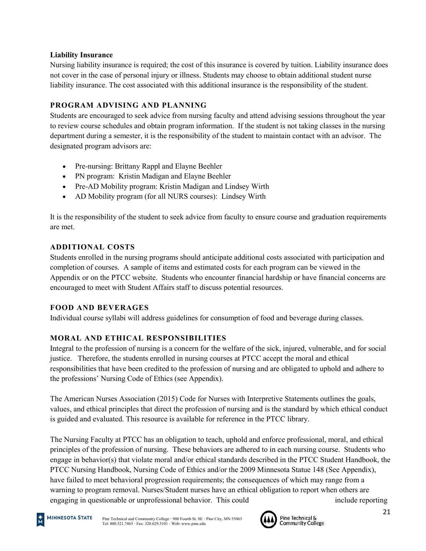#### <span id="page-20-0"></span>**Liability Insurance**

Nursing liability insurance is required; the cost of this insurance is covered by tuition. Liability insurance does not cover in the case of personal injury or illness. Students may choose to obtain additional student nurse liability insurance. The cost associated with this additional insurance is the responsibility of the student.

#### <span id="page-20-1"></span>**PROGRAM ADVISING AND PLANNING**

Students are encouraged to seek advice from nursing faculty and attend advising sessions throughout the year to review course schedules and obtain program information. If the student is not taking classes in the nursing department during a semester, it is the responsibility of the student to maintain contact with an advisor. The designated program advisors are:

- Pre-nursing: Brittany Rappl and Elayne Beehler
- PN program: Kristin Madigan and Elayne Beehler
- Pre-AD Mobility program: Kristin Madigan and Lindsey Wirth
- AD Mobility program (for all NURS courses): Lindsey Wirth

It is the responsibility of the student to seek advice from faculty to ensure course and graduation requirements are met.

#### <span id="page-20-2"></span>**ADDITIONAL COSTS**

Students enrolled in the nursing programs should anticipate additional costs associated with participation and completion of courses. A sample of items and estimated costs for each program can be viewed in the Appendix or on the PTCC website. Students who encounter financial hardship or have financial concerns are encouraged to meet with Student Affairs staff to discuss potential resources.

#### <span id="page-20-3"></span>**FOOD AND BEVERAGES**

प्रि

Individual course syllabi will address guidelines for consumption of food and beverage during classes.

#### <span id="page-20-4"></span>**MORAL AND ETHICAL RESPONSIBILITIES**

Integral to the profession of nursing is a concern for the welfare of the sick, injured, vulnerable, and for social justice. Therefore, the students enrolled in nursing courses at PTCC accept the moral and ethical responsibilities that have been credited to the profession of nursing and are obligated to uphold and adhere to the professions' Nursing Code of Ethics (see Appendix).

The American Nurses Association (2015) Code for Nurses with Interpretive Statements outlines the goals, values, and ethical principles that direct the profession of nursing and is the standard by which ethical conduct is guided and evaluated. This resource is available for reference in the PTCC library.

The Nursing Faculty at PTCC has an obligation to teach, uphold and enforce professional, moral, and ethical principles of the profession of nursing. These behaviors are adhered to in each nursing course. Students who engage in behavior(s) that violate moral and/or ethical standards described in the PTCC Student Handbook, the PTCC Nursing Handbook, Nursing Code of Ethics and/or the 2009 Minnesota Statue 148 (See Appendix), have failed to meet behavioral progression requirements; the consequences of which may range from a warning to program removal. Nurses/Student nurses have an ethical obligation to report when others are engaging in questionable or unprofessional behavior. This could include reporting include reporting

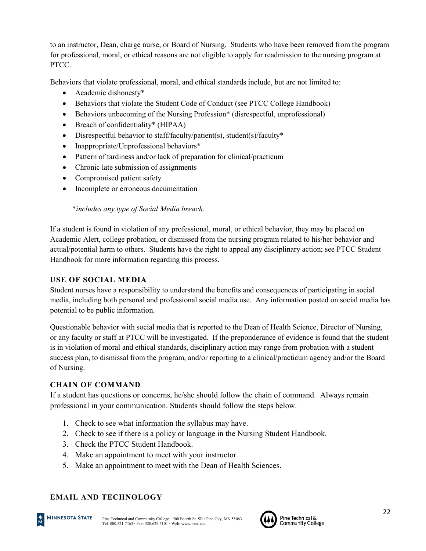to an instructor, Dean, charge nurse, or Board of Nursing. Students who have been removed from the program for professional, moral, or ethical reasons are not eligible to apply for readmission to the nursing program at PTCC.

Behaviors that violate professional, moral, and ethical standards include, but are not limited to:

- Academic dishonesty\*
- Behaviors that violate the Student Code of Conduct (see PTCC College Handbook)
- Behaviors unbecoming of the Nursing Profession\* (disrespectful, unprofessional)
- Breach of confidentiality\* (HIPAA)
- Disrespectful behavior to staff/faculty/patient(s), student(s)/faculty\*
- Inappropriate/Unprofessional behaviors\*
- Pattern of tardiness and/or lack of preparation for clinical/practicum
- Chronic late submission of assignments
- Compromised patient safety
- Incomplete or erroneous documentation

#### \**includes any type of Social Media breach.*

If a student is found in violation of any professional, moral, or ethical behavior, they may be placed on Academic Alert, college probation, or dismissed from the nursing program related to his/her behavior and actual/potential harm to others. Students have the right to appeal any disciplinary action; see PTCC Student Handbook for more information regarding this process.

#### <span id="page-21-0"></span>**USE OF SOCIAL MEDIA**

Student nurses have a responsibility to understand the benefits and consequences of participating in social media, including both personal and professional social media use. Any information posted on social media has potential to be public information.

Questionable behavior with social media that is reported to the Dean of Health Science, Director of Nursing, or any faculty or staff at PTCC will be investigated. If the preponderance of evidence is found that the student is in violation of moral and ethical standards, disciplinary action may range from probation with a student success plan, to dismissal from the program, and/or reporting to a clinical/practicum agency and/or the Board of Nursing.

#### <span id="page-21-1"></span>**CHAIN OF COMMAND**

If a student has questions or concerns, he/she should follow the chain of command. Always remain professional in your communication. Students should follow the steps below.

- 1. Check to see what information the syllabus may have.
- 2. Check to see if there is a policy or language in the Nursing Student Handbook.
- 3. Check the PTCC Student Handbook.
- 4. Make an appointment to meet with your instructor.
- 5. Make an appointment to meet with the Dean of Health Sciences.

### <span id="page-21-2"></span>**EMAIL AND TECHNOLOGY**

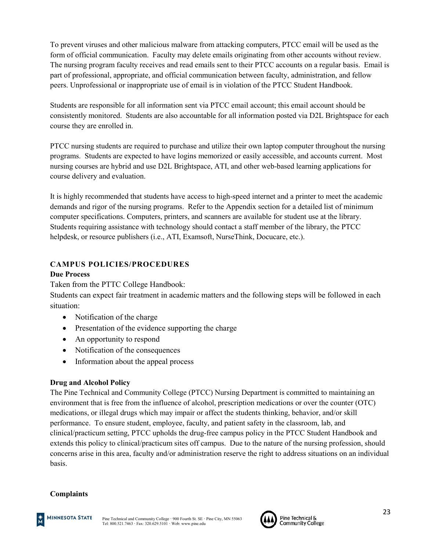To prevent viruses and other malicious malware from attacking computers, PTCC email will be used as the form of official communication. Faculty may delete emails originating from other accounts without review. The nursing program faculty receives and read emails sent to their PTCC accounts on a regular basis. Email is part of professional, appropriate, and official communication between faculty, administration, and fellow peers. Unprofessional or inappropriate use of email is in violation of the PTCC Student Handbook.

Students are responsible for all information sent via PTCC email account; this email account should be consistently monitored. Students are also accountable for all information posted via D2L Brightspace for each course they are enrolled in.

PTCC nursing students are required to purchase and utilize their own laptop computer throughout the nursing programs. Students are expected to have logins memorized or easily accessible, and accounts current. Most nursing courses are hybrid and use D2L Brightspace, ATI, and other web-based learning applications for course delivery and evaluation.

It is highly recommended that students have access to high-speed internet and a printer to meet the academic demands and rigor of the nursing programs. Refer to the Appendix section for a detailed list of minimum computer specifications. Computers, printers, and scanners are available for student use at the library. Students requiring assistance with technology should contact a staff member of the library, the PTCC helpdesk, or resource publishers (i.e., ATI, Examsoft, NurseThink, Docucare, etc.).

### <span id="page-22-0"></span>**CAMPUS POLICIES/PROCEDURES**

#### <span id="page-22-1"></span>**Due Process**

Taken from the PTTC College Handbook:

Students can expect fair treatment in academic matters and the following steps will be followed in each situation:

- Notification of the charge
- Presentation of the evidence supporting the charge
- An opportunity to respond
- Notification of the consequences
- Information about the appeal process

#### <span id="page-22-2"></span>**Drug and Alcohol Policy**

The Pine Technical and Community College (PTCC) Nursing Department is committed to maintaining an environment that is free from the influence of alcohol, prescription medications or over the counter (OTC) medications, or illegal drugs which may impair or affect the students thinking, behavior, and/or skill performance. To ensure student, employee, faculty, and patient safety in the classroom, lab, and clinical/practicum setting, PTCC upholds the drug-free campus policy in the PTCC Student Handbook and extends this policy to clinical/practicum sites off campus. Due to the nature of the nursing profession, should concerns arise in this area, faculty and/or administration reserve the right to address situations on an individual basis.

#### <span id="page-22-3"></span>**Complaints**

प्रि

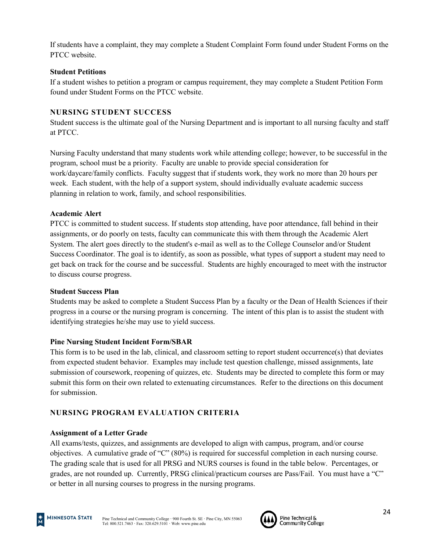If students have a complaint, they may complete a Student Complaint Form found under Student Forms on the PTCC website.

#### <span id="page-23-0"></span>**Student Petitions**

If a student wishes to petition a program or campus requirement, they may complete a Student Petition Form found under Student Forms on the PTCC website.

#### <span id="page-23-1"></span>**NURSING STUDENT SUCCESS**

Student success is the ultimate goal of the Nursing Department and is important to all nursing faculty and staff at PTCC.

Nursing Faculty understand that many students work while attending college; however, to be successful in the program, school must be a priority. Faculty are unable to provide special consideration for work/daycare/family conflicts. Faculty suggest that if students work, they work no more than 20 hours per week. Each student, with the help of a support system, should individually evaluate academic success planning in relation to work, family, and school responsibilities.

#### <span id="page-23-2"></span>**Academic Alert**

PTCC is committed to student success. If students stop attending, have poor attendance, fall behind in their assignments, or do poorly on tests, faculty can communicate this with them through the Academic Alert System. The alert goes directly to the student's e-mail as well as to the College Counselor and/or Student Success Coordinator. The goal is to identify, as soon as possible, what types of support a student may need to get back on track for the course and be successful. Students are highly encouraged to meet with the instructor to discuss course progress.

#### <span id="page-23-3"></span>**Student Success Plan**

Students may be asked to complete a Student Success Plan by a faculty or the Dean of Health Sciences if their progress in a course or the nursing program is concerning. The intent of this plan is to assist the student with identifying strategies he/she may use to yield success.

#### <span id="page-23-4"></span>**Pine Nursing Student Incident Form/SBAR**

This form is to be used in the lab, clinical, and classroom setting to report student occurrence(s) that deviates from expected student behavior. Examples may include test question challenge, missed assignments, late submission of coursework, reopening of quizzes, etc. Students may be directed to complete this form or may submit this form on their own related to extenuating circumstances. Refer to the directions on this document for submission.

#### <span id="page-23-5"></span>**NURSING PROGRAM EVALUATION CRITERIA**

#### <span id="page-23-6"></span>**Assignment of a Letter Grade**

All exams/tests, quizzes, and assignments are developed to align with campus, program, and/or course objectives. A cumulative grade of "C" (80%) is required for successful completion in each nursing course. The grading scale that is used for all PRSG and NURS courses is found in the table below. Percentages, or grades, are not rounded up. Currently, PRSG clinical/practicum courses are Pass/Fail. You must have a "C" or better in all nursing courses to progress in the nursing programs.

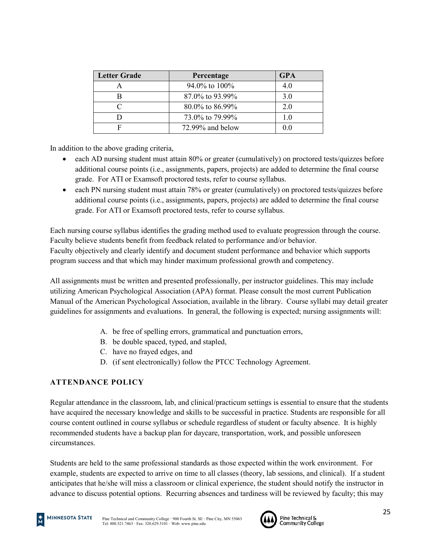| <b>Letter Grade</b> | Percentage          | <b>GPA</b> |
|---------------------|---------------------|------------|
|                     | 94.0% to 100%       | 4.0        |
|                     | 87.0% to 93.99%     | 3.0        |
|                     | 80.0% to 86.99%     | 2.0        |
|                     | 73.0% to 79.99%     | 1.0        |
| Е                   | $72.99\%$ and below |            |

In addition to the above grading criteria,

- each AD nursing student must attain 80% or greater (cumulatively) on proctored tests/quizzes before additional course points (i.e., assignments, papers, projects) are added to determine the final course grade. For ATI or Examsoft proctored tests, refer to course syllabus.
- each PN nursing student must attain 78% or greater (cumulatively) on proctored tests/quizzes before additional course points (i.e., assignments, papers, projects) are added to determine the final course grade. For ATI or Examsoft proctored tests, refer to course syllabus.

Each nursing course syllabus identifies the grading method used to evaluate progression through the course. Faculty believe students benefit from feedback related to performance and/or behavior. Faculty objectively and clearly identify and document student performance and behavior which supports program success and that which may hinder maximum professional growth and competency.

All assignments must be written and presented professionally, per instructor guidelines. This may include utilizing American Psychological Association (APA) format. Please consult the most current Publication Manual of the American Psychological Association, available in the library. Course syllabi may detail greater guidelines for assignments and evaluations. In general, the following is expected; nursing assignments will:

- A. be free of spelling errors, grammatical and punctuation errors,
- B. be double spaced, typed, and stapled,
- C. have no frayed edges, and
- D. (if sent electronically) follow the PTCC Technology Agreement.

#### <span id="page-24-0"></span>**ATTENDANCE POLICY**

靑

Regular attendance in the classroom, lab, and clinical/practicum settings is essential to ensure that the students have acquired the necessary knowledge and skills to be successful in practice. Students are responsible for all course content outlined in course syllabus or schedule regardless of student or faculty absence. It is highly recommended students have a backup plan for daycare, transportation, work, and possible unforeseen circumstances.

Students are held to the same professional standards as those expected within the work environment. For example, students are expected to arrive on time to all classes (theory, lab sessions, and clinical). If a student anticipates that he/she will miss a classroom or clinical experience, the student should notify the instructor in advance to discuss potential options. Recurring absences and tardiness will be reviewed by faculty; this may

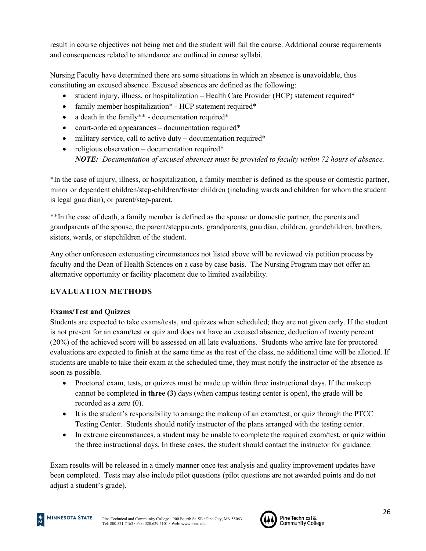result in course objectives not being met and the student will fail the course. Additional course requirements and consequences related to attendance are outlined in course syllabi.

Nursing Faculty have determined there are some situations in which an absence is unavoidable, thus constituting an excused absence. Excused absences are defined as the following:

- student injury, illness, or hospitalization Health Care Provider (HCP) statement required\*
- family member hospitalization\* HCP statement required\*
- a death in the family\*\* documentation required\*
- court-ordered appearances documentation required\*
- military service, call to active duty documentation required\*
- religious observation documentation required\* *NOTE: Documentation of excused absences must be provided to faculty within 72 hours of absence.*

\*In the case of injury, illness, or hospitalization, a family member is defined as the spouse or domestic partner, minor or dependent children/step-children/foster children (including wards and children for whom the student is legal guardian), or parent/step-parent.

\*\*In the case of death, a family member is defined as the spouse or domestic partner, the parents and grandparents of the spouse, the parent/stepparents, grandparents, guardian, children, grandchildren, brothers, sisters, wards, or stepchildren of the student.

Any other unforeseen extenuating circumstances not listed above will be reviewed via petition process by faculty and the Dean of Health Sciences on a case by case basis. The Nursing Program may not offer an alternative opportunity or facility placement due to limited availability.

#### <span id="page-25-0"></span>**EVALUATION METHODS**

#### <span id="page-25-1"></span>**Exams/Test and Quizzes**

靑

Students are expected to take exams/tests, and quizzes when scheduled; they are not given early. If the student is not present for an exam/test or quiz and does not have an excused absence, deduction of twenty percent (20%) of the achieved score will be assessed on all late evaluations. Students who arrive late for proctored evaluations are expected to finish at the same time as the rest of the class, no additional time will be allotted. If students are unable to take their exam at the scheduled time, they must notify the instructor of the absence as soon as possible.

- Proctored exam, tests, or quizzes must be made up within three instructional days. If the makeup cannot be completed in **three (3)** days (when campus testing center is open), the grade will be recorded as a zero (0).
- It is the student's responsibility to arrange the makeup of an exam/test, or quiz through the PTCC Testing Center. Students should notify instructor of the plans arranged with the testing center.
- In extreme circumstances, a student may be unable to complete the required exam/test, or quiz within the three instructional days. In these cases, the student should contact the instructor for guidance.

Exam results will be released in a timely manner once test analysis and quality improvement updates have been completed. Tests may also include pilot questions (pilot questions are not awarded points and do not adjust a student's grade).

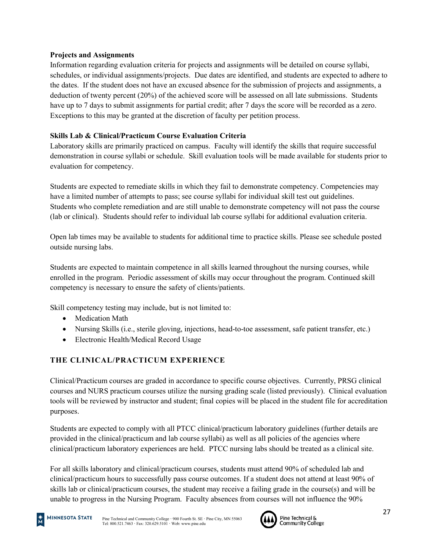#### <span id="page-26-0"></span>**Projects and Assignments**

Information regarding evaluation criteria for projects and assignments will be detailed on course syllabi, schedules, or individual assignments/projects. Due dates are identified, and students are expected to adhere to the dates. If the student does not have an excused absence for the submission of projects and assignments, a deduction of twenty percent (20%) of the achieved score will be assessed on all late submissions. Students have up to 7 days to submit assignments for partial credit; after 7 days the score will be recorded as a zero. Exceptions to this may be granted at the discretion of faculty per petition process.

#### <span id="page-26-1"></span>**Skills Lab & Clinical/Practicum Course Evaluation Criteria**

Laboratory skills are primarily practiced on campus. Faculty will identify the skills that require successful demonstration in course syllabi or schedule. Skill evaluation tools will be made available for students prior to evaluation for competency.

Students are expected to remediate skills in which they fail to demonstrate competency. Competencies may have a limited number of attempts to pass; see course syllabi for individual skill test out guidelines. Students who complete remediation and are still unable to demonstrate competency will not pass the course (lab or clinical). Students should refer to individual lab course syllabi for additional evaluation criteria.

Open lab times may be available to students for additional time to practice skills. Please see schedule posted outside nursing labs.

Students are expected to maintain competence in all skills learned throughout the nursing courses, while enrolled in the program. Periodic assessment of skills may occur throughout the program. Continued skill competency is necessary to ensure the safety of clients/patients.

Skill competency testing may include, but is not limited to:

- Medication Math
- Nursing Skills (i.e., sterile gloving, injections, head-to-toe assessment, safe patient transfer, etc.)
- Electronic Health/Medical Record Usage

#### <span id="page-26-2"></span>**THE CLINICAL/PRACTICUM EXPERIENCE**

Clinical/Practicum courses are graded in accordance to specific course objectives. Currently, PRSG clinical courses and NURS practicum courses utilize the nursing grading scale (listed previously).Clinical evaluation tools will be reviewed by instructor and student; final copies will be placed in the student file for accreditation purposes.

Students are expected to comply with all PTCC clinical/practicum laboratory guidelines (further details are provided in the clinical/practicum and lab course syllabi) as well as all policies of the agencies where clinical/practicum laboratory experiences are held. PTCC nursing labs should be treated as a clinical site.

For all skills laboratory and clinical/practicum courses, students must attend 90% of scheduled lab and clinical/practicum hours to successfully pass course outcomes. If a student does not attend at least 90% of skills lab or clinical/practicum courses, the student may receive a failing grade in the course(s) and will be unable to progress in the Nursing Program. Faculty absences from courses will not influence the 90%

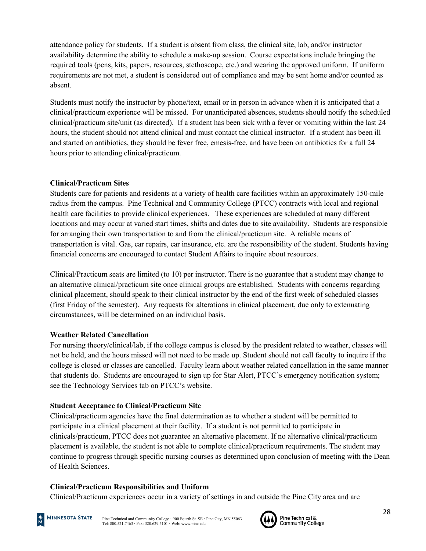attendance policy for students. If a student is absent from class, the clinical site, lab, and/or instructor availability determine the ability to schedule a make-up session. Course expectations include bringing the required tools (pens, kits, papers, resources, stethoscope, etc.) and wearing the approved uniform. If uniform requirements are not met, a student is considered out of compliance and may be sent home and/or counted as absent.

Students must notify the instructor by phone/text, email or in person in advance when it is anticipated that a clinical/practicum experience will be missed. For unanticipated absences, students should notify the scheduled clinical/practicum site/unit (as directed). If a student has been sick with a fever or vomiting within the last 24 hours, the student should not attend clinical and must contact the clinical instructor. If a student has been ill and started on antibiotics, they should be fever free, emesis-free, and have been on antibiotics for a full 24 hours prior to attending clinical/practicum.

#### <span id="page-27-0"></span>**Clinical/Practicum Sites**

Students care for patients and residents at a variety of health care facilities within an approximately 150-mile radius from the campus. Pine Technical and Community College (PTCC) contracts with local and regional health care facilities to provide clinical experiences. These experiences are scheduled at many different locations and may occur at varied start times, shifts and dates due to site availability. Students are responsible for arranging their own transportation to and from the clinical/practicum site. A reliable means of transportation is vital. Gas, car repairs, car insurance, etc. are the responsibility of the student. Students having financial concerns are encouraged to contact Student Affairs to inquire about resources.

Clinical/Practicum seats are limited (to 10) per instructor. There is no guarantee that a student may change to an alternative clinical/practicum site once clinical groups are established. Students with concerns regarding clinical placement, should speak to their clinical instructor by the end of the first week of scheduled classes (first Friday of the semester). Any requests for alterations in clinical placement, due only to extenuating circumstances, will be determined on an individual basis.

#### <span id="page-27-1"></span>**Weather Related Cancellation**

靑

For nursing theory/clinical/lab, if the college campus is closed by the president related to weather, classes will not be held, and the hours missed will not need to be made up. Student should not call faculty to inquire if the college is closed or classes are cancelled. Faculty learn about weather related cancellation in the same manner that students do. Students are encouraged to sign up for Star Alert, PTCC's emergency notification system; see the Technology Services tab on PTCC's website.

#### <span id="page-27-2"></span>**Student Acceptance to Clinical/Practicum Site**

Clinical/practicum agencies have the final determination as to whether a student will be permitted to participate in a clinical placement at their facility. If a student is not permitted to participate in clinicals/practicum, PTCC does not guarantee an alternative placement. If no alternative clinical/practicum placement is available, the student is not able to complete clinical/practicum requirements. The student may continue to progress through specific nursing courses as determined upon conclusion of meeting with the Dean of Health Sciences.

#### <span id="page-27-3"></span>**Clinical/Practicum Responsibilities and Uniform**

Clinical/Practicum experiences occur in a variety of settings in and outside the Pine City area and are

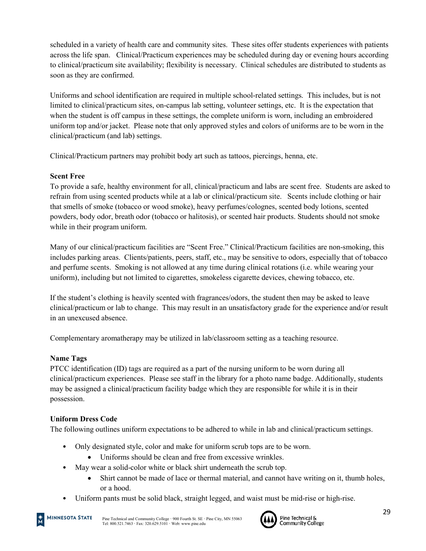scheduled in a variety of health care and community sites. These sites offer students experiences with patients across the life span. Clinical/Practicum experiences may be scheduled during day or evening hours according to clinical/practicum site availability; flexibility is necessary. Clinical schedules are distributed to students as soon as they are confirmed.

Uniforms and school identification are required in multiple school-related settings. This includes, but is not limited to clinical/practicum sites, on-campus lab setting, volunteer settings, etc. It is the expectation that when the student is off campus in these settings, the complete uniform is worn, including an embroidered uniform top and/or jacket. Please note that only approved styles and colors of uniforms are to be worn in the clinical/practicum (and lab) settings.

Clinical/Practicum partners may prohibit body art such as tattoos, piercings, henna, etc.

#### <span id="page-28-0"></span>**Scent Free**

To provide a safe, healthy environment for all, clinical/practicum and labs are scent free. Students are asked to refrain from using scented products while at a lab or clinical/practicum site. Scents include clothing or hair that smells of smoke (tobacco or wood smoke), heavy perfumes/colognes, scented body lotions, scented powders, body odor, breath odor (tobacco or halitosis), or scented hair products. Students should not smoke while in their program uniform.

Many of our clinical/practicum facilities are "Scent Free." Clinical/Practicum facilities are non-smoking, this includes parking areas. Clients/patients, peers, staff, etc., may be sensitive to odors, especially that of tobacco and perfume scents. Smoking is not allowed at any time during clinical rotations (i.e. while wearing your uniform), including but not limited to cigarettes, smokeless cigarette devices, chewing tobacco, etc.

If the student's clothing is heavily scented with fragrances/odors, the student then may be asked to leave clinical/practicum or lab to change. This may result in an unsatisfactory grade for the experience and/or result in an unexcused absence.

Complementary aromatherapy may be utilized in lab/classroom setting as a teaching resource.

#### <span id="page-28-1"></span>**Name Tags**

PTCC identification (ID) tags are required as a part of the nursing uniform to be worn during all clinical/practicum experiences. Please see staff in the library for a photo name badge. Additionally, students may be assigned a clinical/practicum facility badge which they are responsible for while it is in their possession.

#### <span id="page-28-2"></span>**Uniform Dress Code**

The following outlines uniform expectations to be adhered to while in lab and clinical/practicum settings.

- Only designated style, color and make for uniform scrub tops are to be worn.
	- Uniforms should be clean and free from excessive wrinkles.
- May wear a solid-color white or black shirt underneath the scrub top.
	- Shirt cannot be made of lace or thermal material, and cannot have writing on it, thumb holes, or a hood.
- Uniform pants must be solid black, straight legged, and waist must be mid-rise or high-rise.

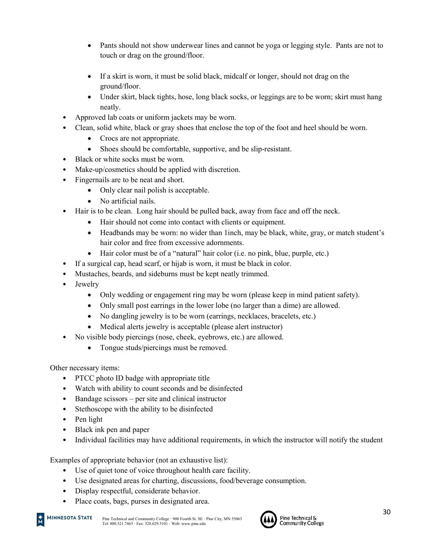- Pants should not show underwear lines and cannot be yoga or legging style. Pants are not to touch or drag on the ground/floor.
- If a skirt is worn, it must be solid black, midcalf or longer, should not drag on the ground/floor.
- Under skirt, black tights, hose, long black socks, or leggings are to be worn; skirt must hang neatly.
- Approved lab coats or uniform jackets may be worn.
- Clean, solid white, black or gray shoes that enclose the top of the foot and heel should be worn.
	- Crocs are not appropriate.
	- Shoes should be comfortable, supportive, and be slip-resistant.
- Black or white socks must be worn.
- Make-up/cosmetics should be applied with discretion.
- Fingernails are to be neat and short.
	- Only clear nail polish is acceptable.
	- No artificial nails.
- Hair is to be clean. Long hair should be pulled back, away from face and off the neck.
	- Hair should not come into contact with clients or equipment.
	- Headbands may be worn: no wider than 1 inch, may be black, white, gray, or match student's hair color and free from excessive adornments.
	- Hair color must be of a "natural" hair color (i.e. no pink, blue, purple, etc.)
- If a surgical cap, head scarf, or hijab is worn, it must be black in color.
- Mustaches, beards, and sideburns must be kept neatly trimmed.
- Jewelry
	- Only wedding or engagement ring may be worn (please keep in mind patient safety).
	- Only small post earrings in the lower lobe (no larger than a dime) are allowed.
	- No dangling jewelry is to be worn (earrings, necklaces, bracelets, etc.)
	- Medical alerts jewelry is acceptable (please alert instructor)
- No visible body piercings (nose, cheek, eyebrows, etc.) are allowed.
	- Tongue studs/piercings must be removed.

Other necessary items:

- PTCC photo ID badge with appropriate title
- Watch with ability to count seconds and be disinfected
- Bandage scissors per site and clinical instructor
- Stethoscope with the ability to be disinfected
- Pen light
- Black ink pen and paper
- Individual facilities may have additional requirements, in which the instructor will notify the student

Examples of appropriate behavior (not an exhaustive list):

- Use of quiet tone of voice throughout health care facility.
- Use designated areas for charting, discussions, food/beverage consumption.
- Display respectful, considerate behavior.
- Place coats, bags, purses in designated area.

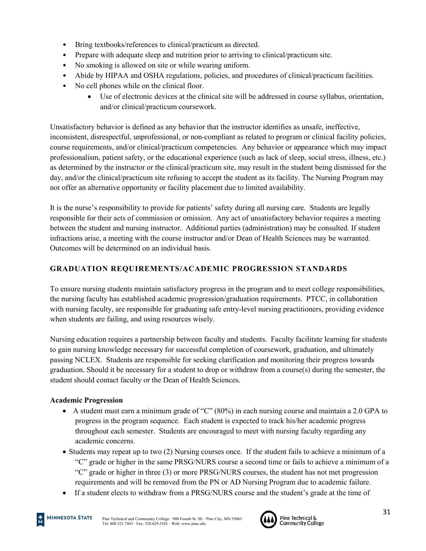- Bring textbooks/references to clinical/practicum as directed.
- Prepare with adequate sleep and nutrition prior to arriving to clinical/practicum site.
- No smoking is allowed on site or while wearing uniform.
- Abide by HIPAA and OSHA regulations, policies, and procedures of clinical/practicum facilities.
- No cell phones while on the clinical floor.
	- Use of electronic devices at the clinical site will be addressed in course syllabus, orientation, and/or clinical/practicum coursework.

Unsatisfactory behavior is defined as any behavior that the instructor identifies as unsafe, ineffective, inconsistent, disrespectful, unprofessional, or non-compliant as related to program or clinical facility policies, course requirements, and/or clinical/practicum competencies. Any behavior or appearance which may impact professionalism, patient safety, or the educational experience (such as lack of sleep, social stress, illness, etc.) as determined by the instructor or the clinical/practicum site, may result in the student being dismissed for the day, and/or the clinical/practicum site refusing to accept the student as its facility. The Nursing Program may not offer an alternative opportunity or facility placement due to limited availability.

It is the nurse's responsibility to provide for patients' safety during all nursing care. Students are legally responsible for their acts of commission or omission. Any act of unsatisfactory behavior requires a meeting between the student and nursing instructor. Additional parties (administration) may be consulted. If student infractions arise, a meeting with the course instructor and/or Dean of Health Sciences may be warranted. Outcomes will be determined on an individual basis.

#### <span id="page-30-0"></span>**GRADUATION REQUIREMENTS/ACADEMIC PROGRESSION STANDARDS**

To ensure nursing students maintain satisfactory progress in the program and to meet college responsibilities, the nursing faculty has established academic progression/graduation requirements. PTCC, in collaboration with nursing faculty, are responsible for graduating safe entry-level nursing practitioners, providing evidence when students are failing, and using resources wisely.

Nursing education requires a partnership between faculty and students. Faculty facilitate learning for students to gain nursing knowledge necessary for successful completion of coursework, graduation, and ultimately passing NCLEX. Students are responsible for seeking clarification and monitoring their progress towards graduation. Should it be necessary for a student to drop or withdraw from a course(s) during the semester, the student should contact faculty or the Dean of Health Sciences.

#### <span id="page-30-1"></span>**Academic Progression**

靑

- A student must earn a minimum grade of "C" (80%) in each nursing course and maintain a 2.0 GPA to progress in the program sequence. Each student is expected to track his/her academic progress throughout each semester. Students are encouraged to meet with nursing faculty regarding any academic concerns.
- Students may repeat up to two (2) Nursing courses once. If the student fails to achieve a minimum of a "C" grade or higher in the same PRSG/NURS course a second time or fails to achieve a minimum of a "C" grade or higher in three (3) or more PRSG/NURS courses, the student has not met progression requirements and will be removed from the PN or AD Nursing Program due to academic failure.
- If a student elects to withdraw from a PRSG/NURS course and the student's grade at the time of

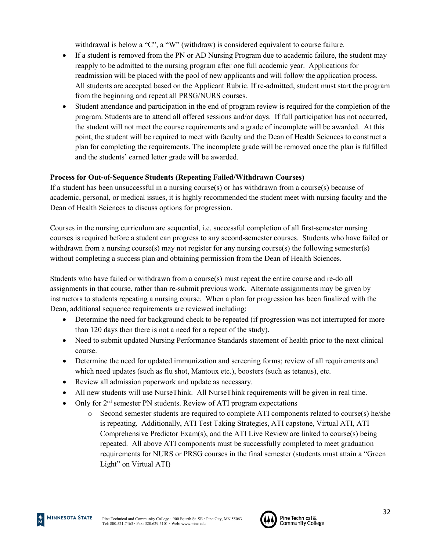withdrawal is below a "C", a "W" (withdraw) is considered equivalent to course failure.

- If a student is removed from the PN or AD Nursing Program due to academic failure, the student may reapply to be admitted to the nursing program after one full academic year. Applications for readmission will be placed with the pool of new applicants and will follow the application process. All students are accepted based on the Applicant Rubric. If re-admitted, student must start the program from the beginning and repeat all PRSG/NURS courses.
- Student attendance and participation in the end of program review is required for the completion of the program. Students are to attend all offered sessions and/or days. If full participation has not occurred, the student will not meet the course requirements and a grade of incomplete will be awarded. At this point, the student will be required to meet with faculty and the Dean of Health Sciences to construct a plan for completing the requirements. The incomplete grade will be removed once the plan is fulfilled and the students' earned letter grade will be awarded.

#### <span id="page-31-0"></span>**Process for Out-of-Sequence Students (Repeating Failed/Withdrawn Courses)**

If a student has been unsuccessful in a nursing course(s) or has withdrawn from a course(s) because of academic, personal, or medical issues, it is highly recommended the student meet with nursing faculty and the Dean of Health Sciences to discuss options for progression.

Courses in the nursing curriculum are sequential, i.e. successful completion of all first-semester nursing courses is required before a student can progress to any second-semester courses. Students who have failed or withdrawn from a nursing course(s) may not register for any nursing course(s) the following semester(s) without completing a success plan and obtaining permission from the Dean of Health Sciences.

Students who have failed or withdrawn from a course(s) must repeat the entire course and re-do all assignments in that course, rather than re-submit previous work. Alternate assignments may be given by instructors to students repeating a nursing course. When a plan for progression has been finalized with the Dean, additional sequence requirements are reviewed including:

- Determine the need for background check to be repeated (if progression was not interrupted for more than 120 days then there is not a need for a repeat of the study).
- Need to submit updated Nursing Performance Standards statement of health prior to the next clinical course.
- Determine the need for updated immunization and screening forms; review of all requirements and which need updates (such as flu shot, Mantoux etc.), boosters (such as tetanus), etc.
- Review all admission paperwork and update as necessary.
- All new students will use NurseThink. All NurseThink requirements will be given in real time.
- Only for  $2<sup>nd</sup>$  semester PN students. Review of ATI program expectations
	- o Second semester students are required to complete ATI components related to course(s) he/she is repeating. Additionally, ATI Test Taking Strategies, ATI capstone, Virtual ATI, ATI Comprehensive Predictor Exam(s), and the ATI Live Review are linked to course(s) being repeated. All above ATI components must be successfully completed to meet graduation requirements for NURS or PRSG courses in the final semester (students must attain a "Green Light" on Virtual ATI)

प्रि

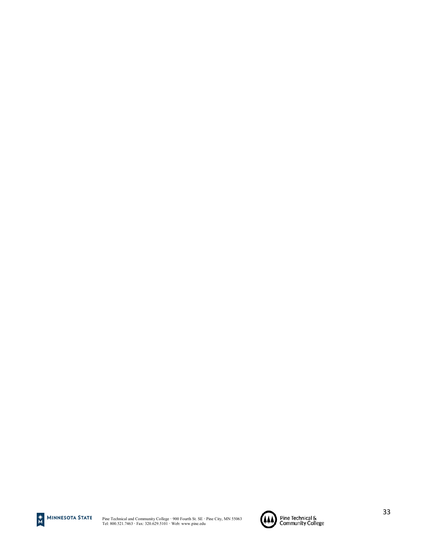